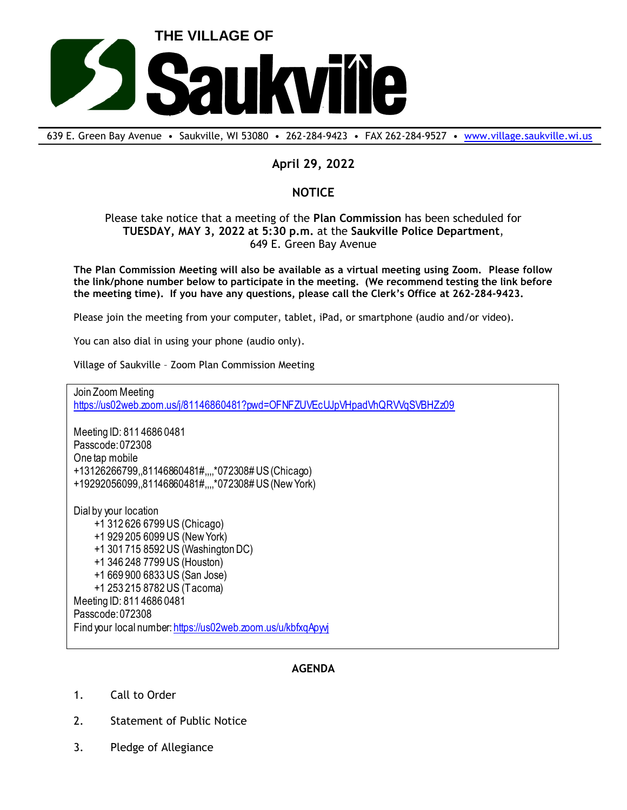

639 E. Green Bay Avenue • Saukville, WI 53080 • 262-284-9423 • FAX 262-284-9527 • [www.village.saukville.wi.us](http://www.village.saukville.wi.us/)

## **April 29, 2022**

## **NOTICE**

## Please take notice that a meeting of the **Plan Commission** has been scheduled for **TUESDAY, MAY 3, 2022 at 5:30 p.m.** at the **Saukville Police Department**, 649 E. Green Bay Avenue

**The Plan Commission Meeting will also be available as a virtual meeting using Zoom. Please follow the link/phone number below to participate in the meeting. (We recommend testing the link before the meeting time). If you have any questions, please call the Clerk's Office at 262-284-9423.**

Please join the meeting from your computer, tablet, iPad, or smartphone (audio and/or video).

You can also dial in using your phone (audio only).

Village of Saukville – Zoom Plan Commission Meeting

Join Zoom Meeting https://us02web.zoom.us/j/81146860481?pwd=OFNFZUVEcUJpVHpadVhQRVVqSVBHZz09

Meeting ID: 811 4686 0481 Passcode: 072308 One tap mobile +13126266799,,81146860481#,,,,\*072308# US (Chicago) +19292056099,,81146860481#,,,,\*072308# US (New York)

Dial by your location +1 312 626 6799 US (Chicago) +1 929 205 6099 US (New York) +1 301 715 8592 US (Washington DC) +1 346 248 7799 US (Houston) +1 669 900 6833 US (San Jose) +1 253 215 8782 US (Tacoma) Meeting ID: 811 4686 0481 Passcode: 072308 Find your local number: https://us02web.zoom.us/u/kbfxqApyvj

## **AGENDA**

- 1. Call to Order
- 2. Statement of Public Notice
- 3. Pledge of Allegiance